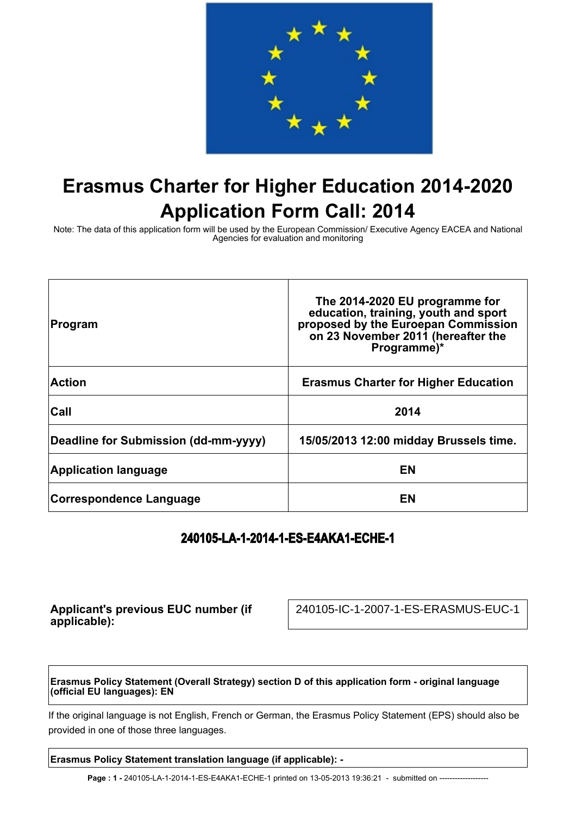

# **Erasmus Charter for Higher Education 2014-2020 Application Form Call: 2014**

Note: The data of this application form will be used by the European Commission/ Executive Agency EACEA and National Agencies for evaluation and monitoring

| Program                              | The 2014-2020 EU programme for<br>education, training, youth and sport<br>proposed by the Euroepan Commission<br>on 23 November 2011 (hereafter the<br>Programme)* |
|--------------------------------------|--------------------------------------------------------------------------------------------------------------------------------------------------------------------|
| <b>Action</b>                        | <b>Erasmus Charter for Higher Education</b>                                                                                                                        |
| Call                                 | 2014                                                                                                                                                               |
| Deadline for Submission (dd-mm-yyyy) | 15/05/2013 12:00 midday Brussels time.                                                                                                                             |
| <b>Application language</b>          | EN                                                                                                                                                                 |
| <b>Correspondence Language</b>       | EN                                                                                                                                                                 |

## **240105-LA-1-2014-1-ES-E4AKA1-ECHE-1**

**Applicant's previous EUC number (if applicable):**

240105-IC-1-2007-1-ES-ERASMUS-EUC-1

**Erasmus Policy Statement (Overall Strategy) section D of this application form - original language (official EU languages): EN**

If the original language is not English, French or German, the Erasmus Policy Statement (EPS) should also be provided in one of those three languages.

**Erasmus Policy Statement translation language (if applicable): -**

Page : 1 - 240105-LA-1-2014-1-ES-E4AKA1-ECHE-1 printed on 13-05-2013 19:36:21 - submitted on ---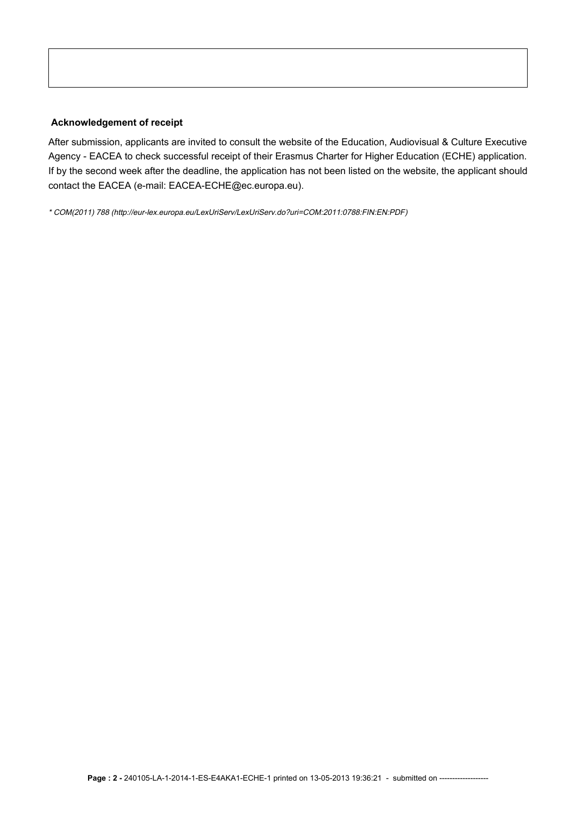#### **Acknowledgement of receipt**

After submission, applicants are invited to consult the website of the Education, Audiovisual & Culture Executive Agency - EACEA to check successful receipt of their Erasmus Charter for Higher Education (ECHE) application. If by the second week after the deadline, the application has not been listed on the website, the applicant should contact the EACEA (e-mail: EACEA-ECHE@ec.europa.eu).

\* COM(2011) 788 (http://eur-lex.europa.eu/LexUriServ/LexUriServ.do?uri=COM:2011:0788:FIN:EN:PDF)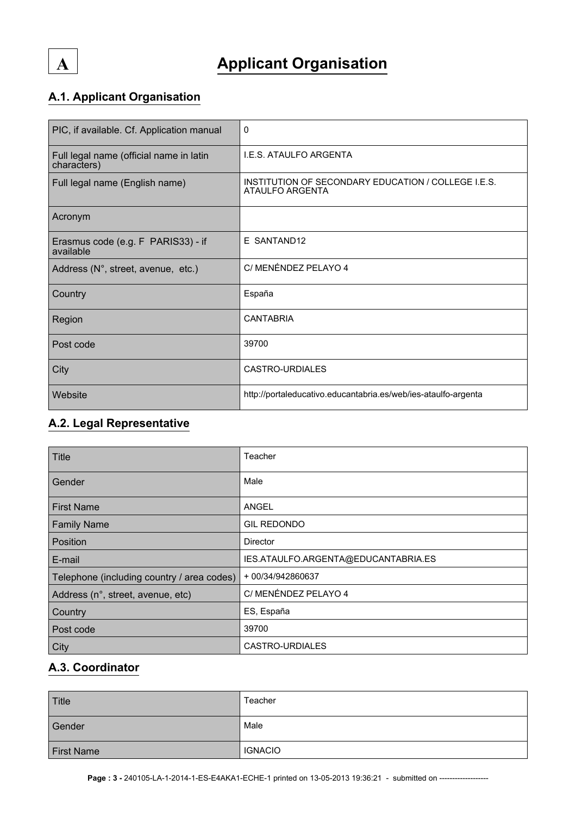

## **A.1. Applicant Organisation**

| PIC, if available. Cf. Application manual              | $\Omega$                                                                      |
|--------------------------------------------------------|-------------------------------------------------------------------------------|
| Full legal name (official name in latin<br>characters) | <b>I.E.S. ATAULFO ARGENTA</b>                                                 |
| Full legal name (English name)                         | INSTITUTION OF SECONDARY EDUCATION / COLLEGE I.E.S.<br><b>ATAULFO ARGENTA</b> |
| Acronym                                                |                                                                               |
| Erasmus code (e.g. F PARIS33) - if<br>available        | E SANTAND12                                                                   |
| Address (N°, street, avenue, etc.)                     | C/ MENÉNDEZ PELAYO 4                                                          |
| Country                                                | España                                                                        |
| Region                                                 | <b>CANTABRIA</b>                                                              |
| Post code                                              | 39700                                                                         |
| City                                                   | CASTRO-URDIALES                                                               |
| Website                                                | http://portaleducativo.educantabria.es/web/ies-ataulfo-argenta                |

## **A.2. Legal Representative**

| Title                                      | Teacher                             |
|--------------------------------------------|-------------------------------------|
| Gender                                     | Male                                |
| <b>First Name</b>                          | <b>ANGEL</b>                        |
| <b>Family Name</b>                         | <b>GIL REDONDO</b>                  |
| <b>Position</b>                            | <b>Director</b>                     |
| E-mail                                     | IES.ATAULFO.ARGENTA@EDUCANTABRIA.ES |
| Telephone (including country / area codes) | + 00/34/942860637                   |
| Address (n°, street, avenue, etc)          | C/ MENÉNDEZ PELAYO 4                |
| Country                                    | ES, España                          |
| Post code                                  | 39700                               |
| City                                       | CASTRO-URDIALES                     |

### **A.3. Coordinator**

| Title             | Teacher        |
|-------------------|----------------|
| Gender            | Male           |
| <b>First Name</b> | <b>IGNACIO</b> |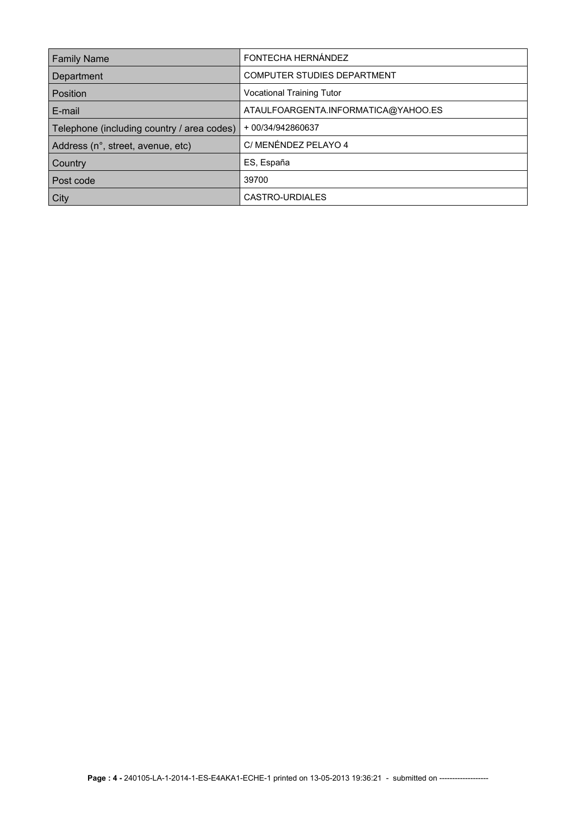| <b>Family Name</b>                         | FONTECHA HERNÁNDEZ                  |
|--------------------------------------------|-------------------------------------|
| Department                                 | <b>COMPUTER STUDIES DEPARTMENT</b>  |
| Position                                   | <b>Vocational Training Tutor</b>    |
| E-mail                                     | ATAULFOARGENTA.INFORMATICA@YAHOO.ES |
| Telephone (including country / area codes) | + 00/34/942860637                   |
| Address (n°, street, avenue, etc)          | C/ MENÉNDEZ PELAYO 4                |
| Country                                    | ES, España                          |
| Post code                                  | 39700                               |
| City                                       | CASTRO-URDIALES                     |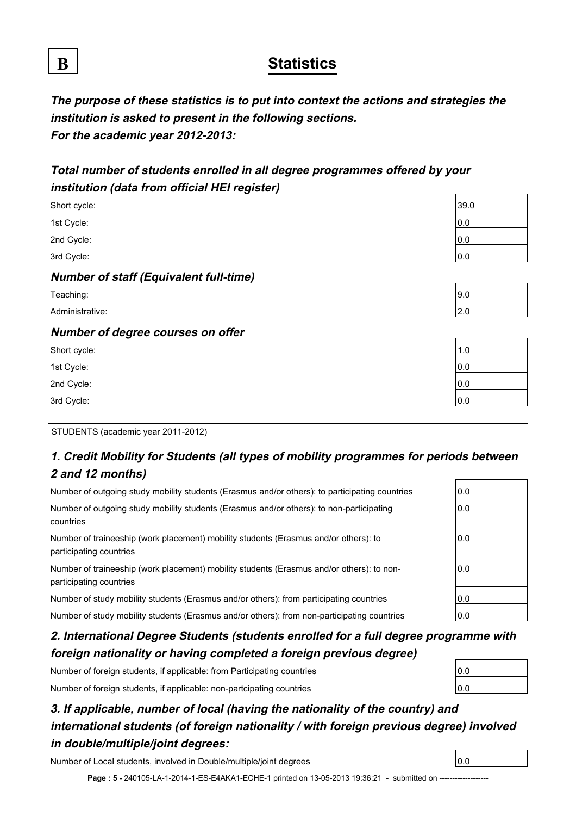## **B Statistics**

**The purpose of these statistics is to put into context the actions and strategies the institution is asked to present in the following sections. For the academic year 2012-2013:**

## **Total number of students enrolled in all degree programmes offered by your institution (data from official HEI register)**

| Short cycle:                                  | 39.0 |
|-----------------------------------------------|------|
| 1st Cycle:                                    | 0.0  |
| 2nd Cycle:                                    | 0.0  |
| 3rd Cycle:                                    | 0.0  |
| <b>Number of staff (Equivalent full-time)</b> |      |
| Teaching:                                     | 9.0  |
| Administrative:                               | 2.0  |
| Number of degree courses on offer             |      |
| Short cycle:                                  | 1.0  |
| 1st Cycle:                                    | 0.0  |
| 2nd Cycle:                                    | 0.0  |
| 3rd Cycle:                                    | 0.0  |

#### STUDENTS (academic year 2011-2012)

## **1. Credit Mobility for Students (all types of mobility programmes for periods between 2 and 12 months)**

| Number of outgoing study mobility students (Erasmus and/or others): to participating countries                       | 0.0 |
|----------------------------------------------------------------------------------------------------------------------|-----|
| Number of outgoing study mobility students (Erasmus and/or others): to non-participating<br>countries                |     |
| Number of traineeship (work placement) mobility students (Erasmus and/or others): to<br>participating countries      | 0.0 |
| Number of traineeship (work placement) mobility students (Erasmus and/or others): to non-<br>participating countries | 0.0 |
| Number of study mobility students (Erasmus and/or others): from participating countries                              | 0.0 |
| Number of study mobility students (Erasmus and/or others): from non-participating countries                          | 0.0 |

## **2. International Degree Students (students enrolled for a full degree programme with foreign nationality or having completed a foreign previous degree)**

Number of foreign students, if applicable: from Participating countries

Number of foreign students, if applicable: non-partcipating countries

## **3. If applicable, number of local (having the nationality of the country) and international students (of foreign nationality / with foreign previous degree) involved in double/multiple/joint degrees:**

Number of Local students, involved in Double/multiple/joint degrees 0.0

Page : 5 - 240105-LA-1-2014-1-ES-E4AKA1-ECHE-1 printed on 13-05-2013 19:36:21 - submitted on -----

| 0.0 |  |
|-----|--|
|     |  |
| 0.0 |  |

| 1.0 |  |
|-----|--|
| 0.0 |  |
| 0.0 |  |
| 0.0 |  |
|     |  |

| 0.0 |  |  |  |
|-----|--|--|--|
| 0.0 |  |  |  |
|     |  |  |  |

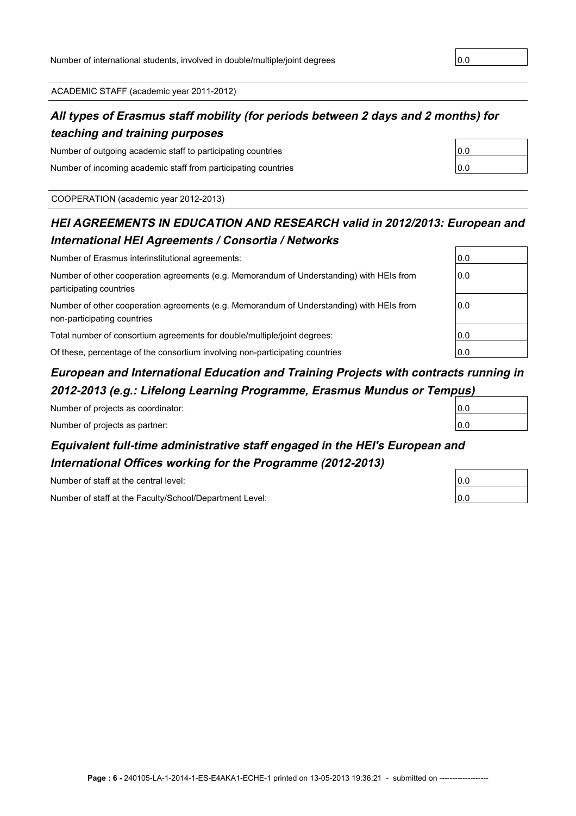ACADEMIC STAFF (academic year 2011-2012)

## **All types of Erasmus staff mobility (for periods between 2 days and 2 months) for teaching and training purposes**

Number of outgoing academic staff to participating countries Number of incoming academic staff from participating countries

COOPERATION (academic year 2012-2013)

## **HEI AGREEMENTS IN EDUCATION AND RESEARCH valid in 2012/2013: European and International HEI Agreements / Consortia / Networks**

| Number of Erasmus interinstitutional agreements:                                                                               |     |  |
|--------------------------------------------------------------------------------------------------------------------------------|-----|--|
| Number of other cooperation agreements (e.g. Memorandum of Understanding) with HEIs from<br>0.0<br>participating countries     |     |  |
| Number of other cooperation agreements (e.g. Memorandum of Understanding) with HEIs from<br>0.0<br>non-participating countries |     |  |
| Total number of consortium agreements for double/multiple/joint degrees:                                                       | 0.0 |  |
| Of these, percentage of the consortium involving non-participating countries                                                   | 0.0 |  |

## **European and International Education and Training Projects with contracts running in 2012-2013 (e.g.: Lifelong Learning Programme, Erasmus Mundus or Tempus)**

| Number of projects as coordinator: | 10.0 |  |
|------------------------------------|------|--|
| Number of projects as partner:     | 10.0 |  |
|                                    |      |  |

## **Equivalent full-time administrative staff engaged in the HEI's European and International Offices working for the Programme (2012-2013)**

Number of staff at the central level:

Number of staff at the Faculty/School/Department Level:

| 0.0 |  |
|-----|--|
|     |  |
| 0.0 |  |

| 0.0 |  |
|-----|--|
| 0.0 |  |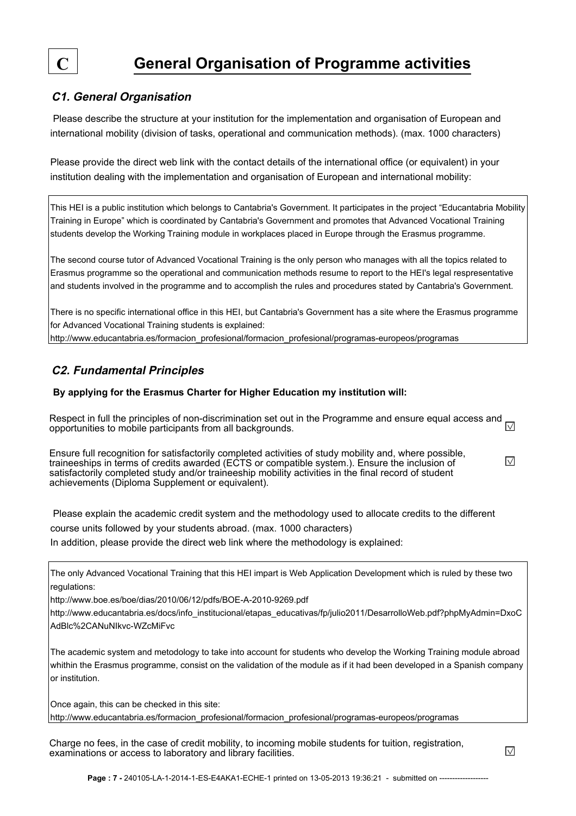

#### **C1. General Organisation**

 Please describe the structure at your institution for the implementation and organisation of European and international mobility (division of tasks, operational and communication methods). (max. 1000 characters)

Please provide the direct web link with the contact details of the international office (or equivalent) in your institution dealing with the implementation and organisation of European and international mobility:

This HEI is a public institution which belongs to Cantabria's Government. It participates in the project "Educantabria Mobility Training in Europe" which is coordinated by Cantabria's Government and promotes that Advanced Vocational Training students develop the Working Training module in workplaces placed in Europe through the Erasmus programme.

The second course tutor of Advanced Vocational Training is the only person who manages with all the topics related to Erasmus programme so the operational and communication methods resume to report to the HEI's legal respresentative and students involved in the programme and to accomplish the rules and procedures stated by Cantabria's Government.

There is no specific international office in this HEI, but Cantabria's Government has a site where the Erasmus programme for Advanced Vocational Training students is explained:

http://www.educantabria.es/formacion\_profesional/formacion\_profesional/programas-europeos/programas

### **C2. Fundamental Principles**

#### **By applying for the Erasmus Charter for Higher Education my institution will:**

Respect in full the principles of non-discrimination set out in the Programme and ensure equal access and  $\overline{\vee}$ opportunities to mobile participants from all backgrounds.

Ensure full recognition for satisfactorily completed activities of study mobility and, where possible,  $\overline{\vee}$ traineeships in terms of credits awarded (ECTS or compatible system.). Ensure the inclusion of satisfactorily completed study and/or traineeship mobility activities in the final record of student achievements (Diploma Supplement or equivalent).

 Please explain the academic credit system and the methodology used to allocate credits to the different course units followed by your students abroad. (max. 1000 characters) In addition, please provide the direct web link where the methodology is explained:

The only Advanced Vocational Training that this HEI impart is Web Application Development which is ruled by these two regulations:

http://www.boe.es/boe/dias/2010/06/12/pdfs/BOE-A-2010-9269.pdf

http://www.educantabria.es/docs/info\_institucional/etapas\_educativas/fp/julio2011/DesarrolloWeb.pdf?phpMyAdmin=DxoC AdBlc%2CANuNIkvc-WZcMiFvc

The academic system and metodology to take into account for students who develop the Working Training module abroad whithin the Erasmus programme, consist on the validation of the module as if it had been developed in a Spanish company or institution.

Once again, this can be checked in this site: http://www.educantabria.es/formacion\_profesional/formacion\_profesional/programas-europeos/programas

Charge no fees, in the case of credit mobility, to incoming mobile students for tuition, registration, examinations or access to laboratory and library facilities.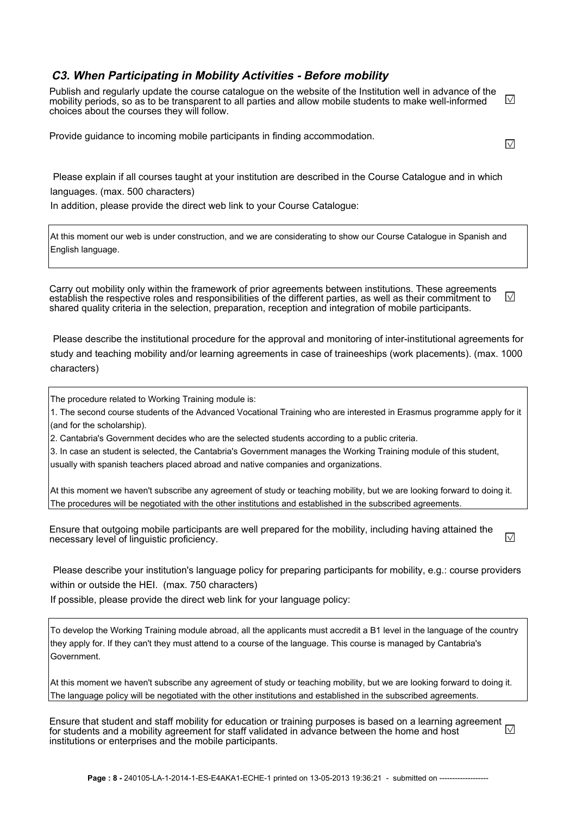#### **C3. When Participating in Mobility Activities - Before mobility**

Publish and regularly update the course catalogue on the website of the Institution well in advance of the  $\triangledown$ mobility periods, so as to be transparent to all parties and allow mobile students to make well-informed choices about the courses they will follow.

Provide guidance to incoming mobile participants in finding accommodation.

 Please explain if all courses taught at your institution are described in the Course Catalogue and in which languages. (max. 500 characters)

In addition, please provide the direct web link to your Course Catalogue:

At this moment our web is under construction, and we are considerating to show our Course Catalogue in Spanish and English language.

Carry out mobility only within the framework of prior agreements between institutions. These agreements  $\sqrt{}$ establish the respective roles and responsibilities of the different parties, as well as their commitment to shared quality criteria in the selection, preparation, reception and integration of mobile participants.

 Please describe the institutional procedure for the approval and monitoring of inter-institutional agreements for study and teaching mobility and/or learning agreements in case of traineeships (work placements). (max. 1000 characters)

The procedure related to Working Training module is:

1. The second course students of the Advanced Vocational Training who are interested in Erasmus programme apply for it (and for the scholarship).

2. Cantabria's Government decides who are the selected students according to a public criteria.

3. In case an student is selected, the Cantabria's Government manages the Working Training module of this student, usually with spanish teachers placed abroad and native companies and organizations.

At this moment we haven't subscribe any agreement of study or teaching mobility, but we are looking forward to doing it. The procedures will be negotiated with the other institutions and established in the subscribed agreements.

Ensure that outgoing mobile participants are well prepared for the mobility, including having attained the  $\overline{\vee}$ necessary level of linguistic proficiency.

 Please describe your institution's language policy for preparing participants for mobility, e.g.: course providers within or outside the HEI. (max. 750 characters)

If possible, please provide the direct web link for your language policy:

To develop the Working Training module abroad, all the applicants must accredit a B1 level in the language of the country they apply for. If they can't they must attend to a course of the language. This course is managed by Cantabria's Government.

At this moment we haven't subscribe any agreement of study or teaching mobility, but we are looking forward to doing it. The language policy will be negotiated with the other institutions and established in the subscribed agreements.

Ensure that student and staff mobility for education or training purposes is based on a learning agreement  $\Box$ for students and a mobility agreement for staff validated in advance between the home and host institutions or enterprises and the mobile participants.

 $\overline{\vee}$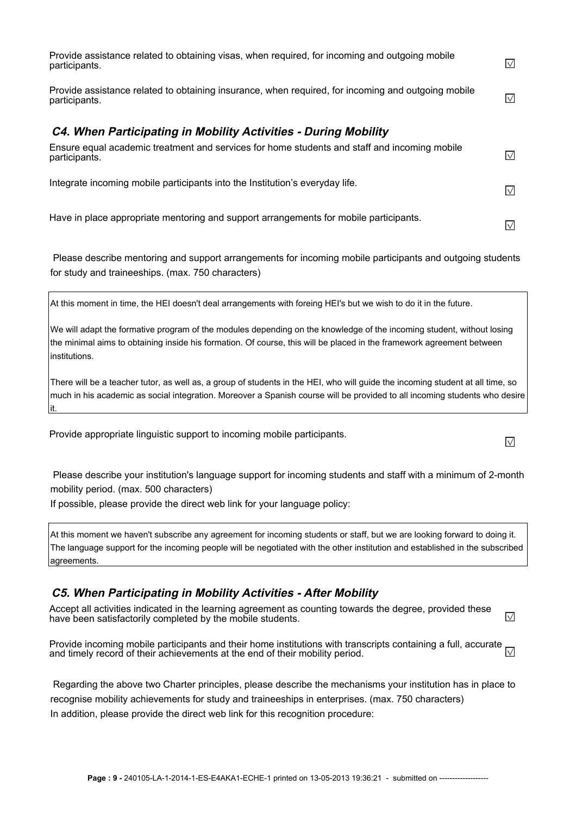| Provide assistance related to obtaining visas, when required, for incoming and outgoing mobile<br>participants.     | $\vee$ |
|---------------------------------------------------------------------------------------------------------------------|--------|
| Provide assistance related to obtaining insurance, when required, for incoming and outgoing mobile<br>participants. | IV     |
| <b>C4. When Participating in Mobility Activities - During Mobility</b>                                              |        |
| Ensure equal academic treatment and services for home students and staff and incoming mobile<br>participants.       | IV.    |
| Integrate incoming mobile participants into the Institution's everyday life.                                        | $\vee$ |
| Have in place appropriate mentoring and support arrangements for mobile participants.                               | IV     |

 Please describe mentoring and support arrangements for incoming mobile participants and outgoing students for study and traineeships. (max. 750 characters)

At this moment in time, the HEI doesn't deal arrangements with foreing HEI's but we wish to do it in the future.

We will adapt the formative program of the modules depending on the knowledge of the incoming student, without losing the minimal aims to obtaining inside his formation. Of course, this will be placed in the framework agreement between institutions.

There will be a teacher tutor, as well as, a group of students in the HEI, who will guide the incoming student at all time, so much in his academic as social integration. Moreover a Spanish course will be provided to all incoming students who desire it.

Provide appropriate linguistic support to incoming mobile participants.

 Please describe your institution's language support for incoming students and staff with a minimum of 2-month mobility period. (max. 500 characters)

If possible, please provide the direct web link for your language policy:

At this moment we haven't subscribe any agreement for incoming students or staff, but we are looking forward to doing it. The language support for the incoming people will be negotiated with the other institution and established in the subscribed agreements.

#### **C5. When Participating in Mobility Activities - After Mobility**

Accept all activities indicated in the learning agreement as counting towards the degree, provided these have been satisfactorily completed by the mobile students.  $\sqrt{}$ 

Provide incoming mobile participants and their home institutions with transcripts containing a full, accurate  $\Box$ and timely record of their achievements at the end of their mobility period.

 Regarding the above two Charter principles, please describe the mechanisms your institution has in place to recognise mobility achievements for study and traineeships in enterprises. (max. 750 characters) In addition, please provide the direct web link for this recognition procedure:

 $\sqrt{}$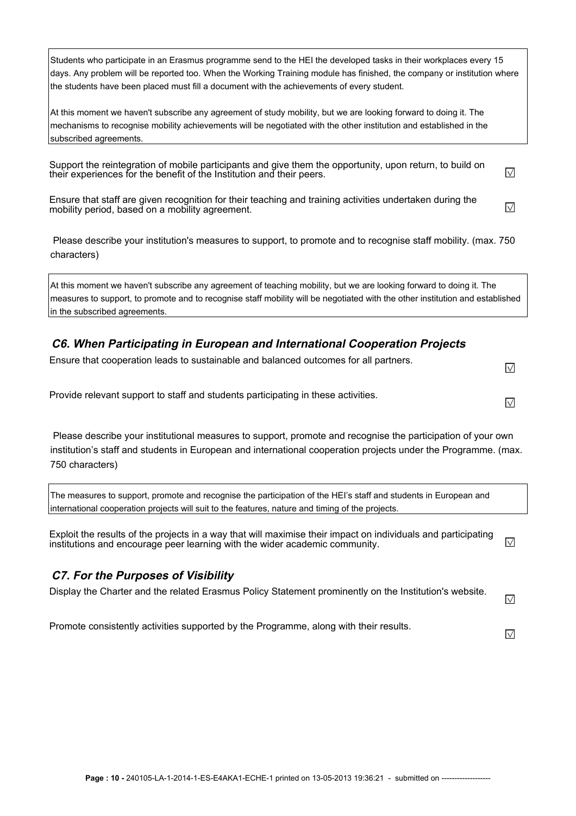Students who participate in an Erasmus programme send to the HEI the developed tasks in their workplaces every 15 days. Any problem will be reported too. When the Working Training module has finished, the company or institution where the students have been placed must fill a document with the achievements of every student.

At this moment we haven't subscribe any agreement of study mobility, but we are looking forward to doing it. The mechanisms to recognise mobility achievements will be negotiated with the other institution and established in the subscribed agreements.

Support the reintegration of mobile participants and give them the opportunity, upon return, to build on their experiences for the benefit of the Institution and their peers.

Ensure that staff are given recognition for their teaching and training activities undertaken during the  $\sqrt{}$ mobility period, based on a mobility agreement.

 $\sqrt{}$ 

 $\sqrt{}$ 

 $\overline{\vee}$ 

 Please describe your institution's measures to support, to promote and to recognise staff mobility. (max. 750 characters)

At this moment we haven't subscribe any agreement of teaching mobility, but we are looking forward to doing it. The measures to support, to promote and to recognise staff mobility will be negotiated with the other institution and established in the subscribed agreements.

#### **C6. When Participating in European and International Cooperation Projects**

| Ensure that cooperation leads to sustainable and balanced outcomes for all partners. | $\sqrt{}$ |
|--------------------------------------------------------------------------------------|-----------|
|--------------------------------------------------------------------------------------|-----------|

Provide relevant support to staff and students participating in these activities.

 Please describe your institutional measures to support, promote and recognise the participation of your own institution's staff and students in European and international cooperation projects under the Programme. (max. 750 characters)

The measures to support, promote and recognise the participation of the HEI's staff and students in European and international cooperation projects will suit to the features, nature and timing of the projects.

Exploit the results of the projects in a way that will maximise their impact on individuals and participating  $\sqrt{}$ institutions and encourage peer learning with the wider academic community.

#### **C7. For the Purposes of Visibility**

| Display the Charter and the related Erasmus Policy Statement prominently on the Institution's website. | $\sim$ |
|--------------------------------------------------------------------------------------------------------|--------|
|--------------------------------------------------------------------------------------------------------|--------|

Promote consistently activities supported by the Programme, along with their results.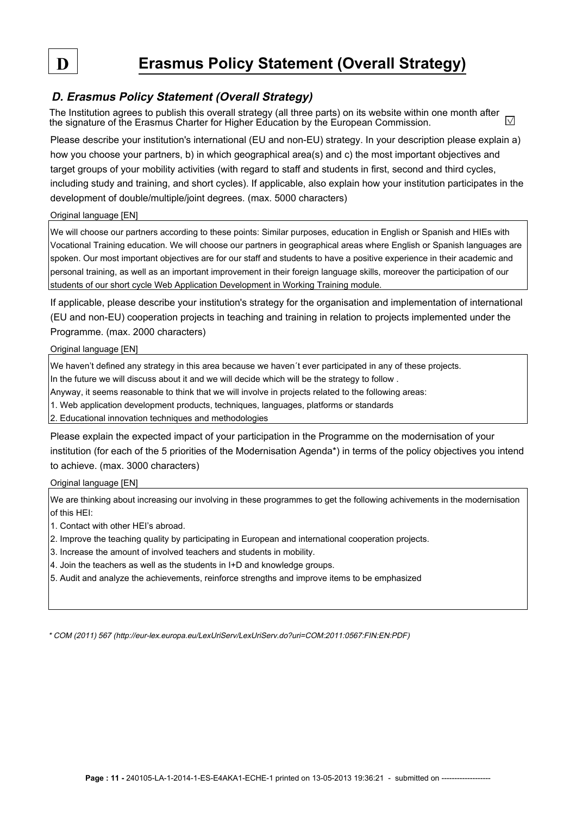### **D. Erasmus Policy Statement (Overall Strategy)**

The Institution agrees to publish this overall strategy (all three parts) on its website within one month after  $\sqrt{}$ the signature of the Erasmus Charter for Higher Education by the European Commission.

Please describe your institution's international (EU and non-EU) strategy. In your description please explain a) how you choose your partners, b) in which geographical area(s) and c) the most important objectives and target groups of your mobility activities (with regard to staff and students in first, second and third cycles, including study and training, and short cycles). If applicable, also explain how your institution participates in the development of double/multiple/joint degrees. (max. 5000 characters)

Original language [EN]

We will choose our partners according to these points: Similar purposes, education in English or Spanish and HIEs with Vocational Training education. We will choose our partners in geographical areas where English or Spanish languages are spoken. Our most important objectives are for our staff and students to have a positive experience in their academic and personal training, as well as an important improvement in their foreign language skills, moreover the participation of our students of our short cycle Web Application Development in Working Training module.

If applicable, please describe your institution's strategy for the organisation and implementation of international (EU and non-EU) cooperation projects in teaching and training in relation to projects implemented under the Programme. (max. 2000 characters)

Original language [EN]

We haven't defined any strategy in this area because we haven't ever participated in any of these projects.

In the future we will discuss about it and we will decide which will be the strategy to follow .

Anyway, it seems reasonable to think that we will involve in projects related to the following areas:

1. Web application development products, techniques, languages, platforms or standards

2. Educational innovation techniques and methodologies

Please explain the expected impact of your participation in the Programme on the modernisation of your institution (for each of the 5 priorities of the Modernisation Agenda\*) in terms of the policy objectives you intend to achieve. (max. 3000 characters)

Original language [EN]

We are thinking about increasing our involving in these programmes to get the following achivements in the modernisation of this HEI:

1. Contact with other HEI's abroad.

2. Improve the teaching quality by participating in European and international cooperation projects.

3. Increase the amount of involved teachers and students in mobility.

4. Join the teachers as well as the students in I+D and knowledge groups.

5. Audit and analyze the achievements, reinforce strengths and improve items to be emphasized

\* COM (2011) 567 (http://eur-lex.europa.eu/LexUriServ/LexUriServ.do?uri=COM:2011:0567:FIN:EN:PDF)